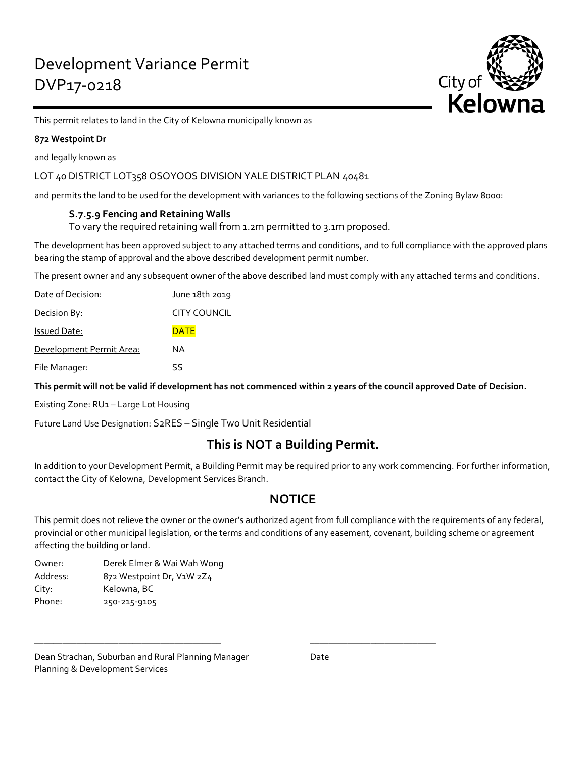

This permit relates to land in the City of Kelowna municipally known as

### **872 Westpoint Dr**

and legally known as

## LOT 40 DISTRICT LOT358 OSOYOOS DIVISION YALE DISTRICT PLAN 40481

and permits the land to be used for the development with variances to the following sections of the Zoning Bylaw 8000:

## **S.7.5.9 Fencing and Retaining Walls**

To vary the required retaining wall from 1.2m permitted to 3.1m proposed.

The development has been approved subject to any attached terms and conditions, and to full compliance with the approved plans bearing the stamp of approval and the above described development permit number.

The present owner and any subsequent owner of the above described land must comply with any attached terms and conditions.

| Date of Decision:        | June 18th 2019      |
|--------------------------|---------------------|
| <u> Decision By:</u>     | <b>CITY COUNCIL</b> |
| <b>Issued Date:</b>      | <b>DATE</b>         |
| Development Permit Area: | ΝA                  |
| File Manager:            | SS                  |

**This permit will not be valid if development has not commenced within 2 years of the council approved Date of Decision.**

Existing Zone: RU1 – Large Lot Housing

Future Land Use Designation: S2RES – Single Two Unit Residential

# **This is NOT a Building Permit.**

In addition to your Development Permit, a Building Permit may be required prior to any work commencing. For further information, contact the City of Kelowna, Development Services Branch.

## **NOTICE**

This permit does not relieve the owner or the owner's authorized agent from full compliance with the requirements of any federal, provincial or other municipal legislation, or the terms and conditions of any easement, covenant, building scheme or agreement affecting the building or land.

\_\_\_\_\_\_\_\_\_\_\_\_\_\_\_\_\_\_\_\_\_\_\_\_\_\_\_\_\_\_\_\_\_\_\_\_\_\_\_\_ \_\_\_\_\_\_\_\_\_\_\_\_\_\_\_\_\_\_\_\_\_\_\_\_\_\_\_

Owner: Derek Elmer & Wai Wah Wong Address: 872 Westpoint Dr, V1W 2Z4 City: Kelowna, BC Phone: 250-215-9105

Dean Strachan, Suburban and Rural Planning Manager Date Planning & Development Services